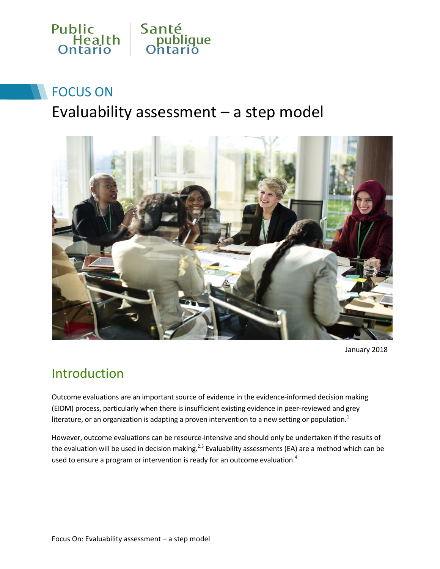

# FOCUS ON

# Evaluability assessment – a step model



January 2018

### Introduction

Outcome evaluations are an important source of evidence in the evidence-informed decision making (EIDM) process, particularly when there is insufficient existing evidence in peer-reviewed and grey literature, or an organization is adapting a proven intervention to a new setting or population.<sup>1</sup>

However, outcome evaluations can be resource-intensive and should only be undertaken if the results of the evaluation will be used in decision making.<sup>2,3</sup> Evaluability assessments (EA) are a method which can be used to ensure a program or intervention is ready for an outcome evaluation.<sup>4</sup>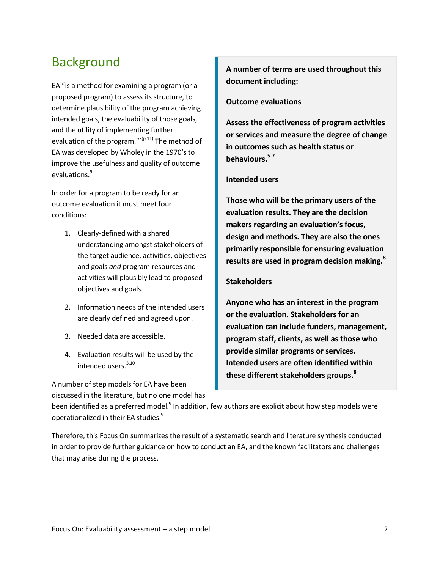## Background

EA "is a method for examining a program (or a proposed program) to assess its structure, to determine plausibility of the program achieving intended goals, the evaluability of those goals, and the utility of implementing further evaluation of the program."<sup>2(p.11)</sup> The method of EA was developed by Wholey in the 1970's to improve the usefulness and quality of outcome evaluations.<sup>9</sup>

In order for a program to be ready for an outcome evaluation it must meet four conditions:

- 1. Clearly-defined with a shared understanding amongst stakeholders of the target audience, activities, objectives and goals *and* program resources and activities will plausibly lead to proposed objectives and goals.
- 2. Information needs of the intended users are clearly defined and agreed upon.
- 3. Needed data are accessible.
- 4. Evaluation results will be used by the intended users. 3,10

A number of step models for EA have been discussed in the literature, but no one model has **A number of terms are used throughout this document including:**

#### **Outcome evaluations**

**Assess the effectiveness of program activities or services and measure the degree of change in outcomes such as health status or behaviours.5-7**

#### **Intended users**

**Those who will be the primary users of the evaluation results. They are the decision makers regarding an evaluation's focus, design and methods. They are also the ones primarily responsible for ensuring evaluation results are used in program decision making.<sup>8</sup>**

#### **Stakeholders**

**Anyone who has an interest in the program or the evaluation. Stakeholders for an evaluation can include funders, management, program staff, clients, as well as those who provide similar programs or services. Intended users are often identified within these different stakeholders groups.<sup>8</sup>**

been identified as a preferred model.<sup>9</sup> In addition, few authors are explicit about how step models were operationalized in their EA studies.<sup>9</sup>

Therefore, this Focus On summarizes the result of a systematic search and literature synthesis conducted in order to provide further guidance on how to conduct an EA, and the known facilitators and challenges that may arise during the process.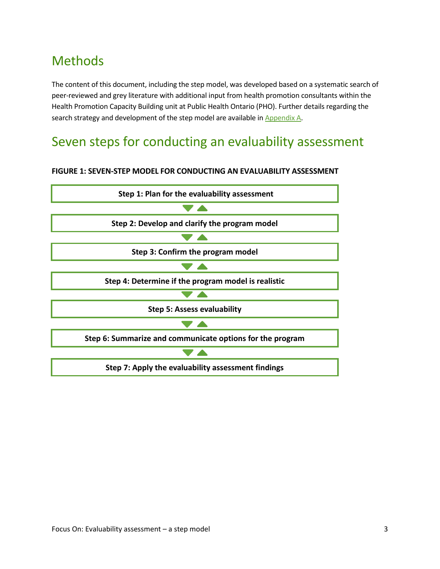# Methods

The content of this document, including the step model, was developed based on a systematic search of peer-reviewed and grey literature with additional input from health promotion consultants within the Health Promotion Capacity Building unit at Public Health Ontario (PHO). Further details regarding the search strategy and development of the step model are available in [Appendix A.](#page-15-0)

## Seven steps for conducting an evaluability assessment

#### **FIGURE 1: SEVEN-STEP MODEL FOR CONDUCTING AN EVALUABILITY ASSESSMENT**

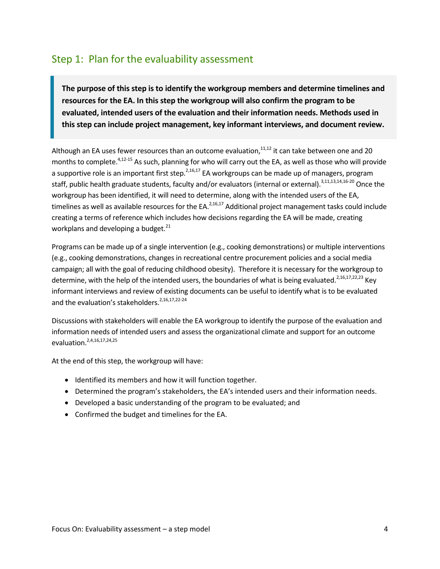#### Step 1: Plan for the evaluability assessment

**The purpose of this step is to identify the workgroup members and determine timelines and resources for the EA. In this step the workgroup will also confirm the program to be evaluated, intended users of the evaluation and their information needs. Methods used in this step can include project management, key informant interviews, and document review.** 

Although an EA uses fewer resources than an outcome evaluation, $11,12$  it can take between one and 20 months to complete.<sup>4,12-15</sup> As such, planning for who will carry out the EA, as well as those who will provide a supportive role is an important first step.  $2,16,17$  EA workgroups can be made up of managers, program staff, public health graduate students, faculty and/or evaluators (internal or external).<sup>3,11,13,14,16-20</sup> Once the workgroup has been identified, it will need to determine, along with the intended users of the EA, timelines as well as available resources for the EA.<sup>2,16,17</sup> Additional project management tasks could include creating a terms of reference which includes how decisions regarding the EA will be made, creating workplans and developing a budget. $^{21}$ 

Programs can be made up of a single intervention (e.g., cooking demonstrations) or multiple interventions (e.g., cooking demonstrations, changes in recreational centre procurement policies and a social media campaign; all with the goal of reducing childhood obesity). Therefore it is necessary for the workgroup to determine, with the help of the intended users, the boundaries of what is being evaluated.<sup>2,16,17,22,23</sup> Key informant interviews and review of existing documents can be useful to identify what is to be evaluated and the evaluation's stakeholders.<sup>2,16,17,22-24</sup>

Discussions with stakeholders will enable the EA workgroup to identify the purpose of the evaluation and information needs of intended users and assess the organizational climate and support for an outcome evaluation. 2,4,16,17,24,25

At the end of this step, the workgroup will have:

- Identified its members and how it will function together.
- Determined the program's stakeholders, the EA's intended users and their information needs.
- Developed a basic understanding of the program to be evaluated; and
- Confirmed the budget and timelines for the EA.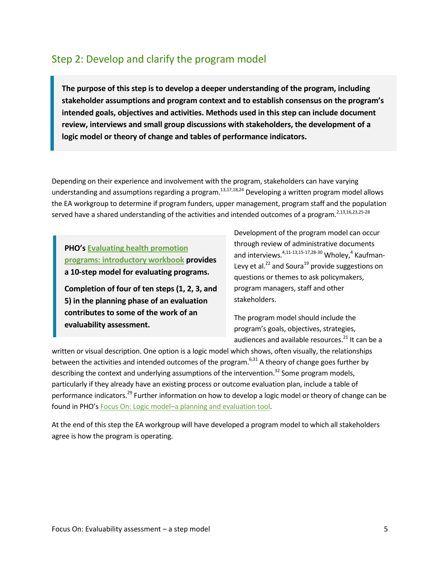#### Step 2: Develop and clarify the program model

**The purpose of this step is to develop a deeper understanding of the program, including stakeholder assumptions and program context and to establish consensus on the program's intended goals, objectives and activities. Methods used in this step can include document review, interviews and small group discussions with stakeholders, the development of a logic model or theory of change and tables of performance indicators.**

Depending on their experience and involvement with the program, stakeholders can have varying understanding and assumptions regarding a program.<sup>13,17,18,24</sup> Developing a written program model allows the EA workgroup to determine if program funders, upper management, program staff and the population served have a shared understanding of the activities and intended outcomes of a program.<sup>2,13,16,23,25-28</sup>

**PHO's [Evaluating health promotion](https://www.publichealthontario.ca/en/erepository/Evaluating_health_promotion_programs_workbook_2016.pdf)  [programs: introductory workbook](https://www.publichealthontario.ca/en/erepository/Evaluating_health_promotion_programs_workbook_2016.pdf) provides a 10-step model for evaluating programs.** 

**Completion of four of ten steps (1, 2, 3, and 5) in the planning phase of an evaluation contributes to some of the work of an evaluability assessment.**

Development of the program model can occur through review of administrative documents and interviews.<sup>4,11-13,15-17,28-30</sup> Wholey,<sup>4</sup> Kaufman-Levy et al. $^{22}$  and Soura<sup>19</sup> provide suggestions on questions or themes to ask policymakers, program managers, staff and other stakeholders.

The program model should include the program's goals, objectives, strategies, audiences and available resources.<sup>21</sup> It can be a

written or visual description. One option is a logic model which shows, often visually, the relationships between the activities and intended outcomes of the program.<sup>6,31</sup> A theory of change goes further by describing the context and underlying assumptions of the intervention.<sup>32</sup> Some program models, particularly if they already have an existing process or outcome evaluation plan, include a table of performance indicators.<sup>29</sup> Further information on how to develop a logic model or theory of change can be found in PHO's Focus On: Logic model–[a planning and evaluation tool.](http://www.publichealthontario.ca/en/eRepository/Focus_On_Logic_Models_2016.pdf)

At the end of this step the EA workgroup will have developed a program model to which all stakeholders agree is how the program is operating.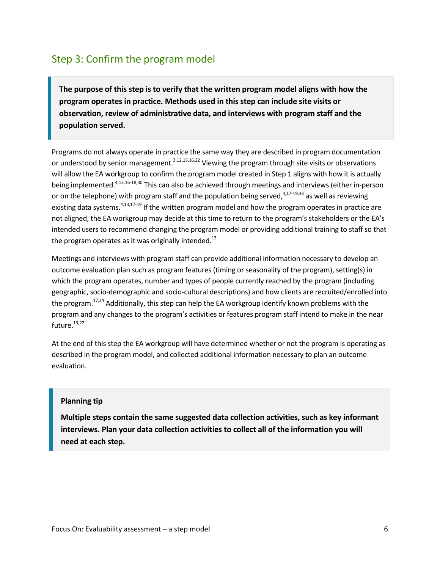### Step 3: Confirm the program model

**The purpose of this step is to verify that the written program model aligns with how the program operates in practice. Methods used in this step can include site visits or observation, review of administrative data, and interviews with program staff and the population served.** 

Programs do not always operate in practice the same way they are described in program documentation or understood by senior management.<sup>3,12,13,16,22</sup> Viewing the program through site visits or observations will allow the EA workgroup to confirm the program model created in Step 1 aligns with how it is actually being implemented.<sup>4,13,16-18,30</sup> This can also be achieved through meetings and interviews (either in-person or on the telephone) with program staff and the population being served,<sup>4,17-19,33</sup> as well as reviewing existing data systems.<sup>4,13,17-19</sup> If the written program model and how the program operates in practice are not aligned, the EA workgroup may decide at this time to return to the program's stakeholders or the EA's intended users to recommend changing the program model or providing additional training to staff so that the program operates as it was originally intended. $^{13}$ 

Meetings and interviews with program staff can provide additional information necessary to develop an outcome evaluation plan such as program features (timing or seasonality of the program), setting(s) in which the program operates, number and types of people currently reached by the program (including geographic, socio-demographic and socio-cultural descriptions) and how clients are recruited/enrolled into the program.<sup>17,24</sup> Additionally, this step can help the EA workgroup identify known problems with the program and any changes to the program's activities or features program staff intend to make in the near future. 13,22

At the end of this step the EA workgroup will have determined whether or not the program is operating as described in the program model, and collected additional information necessary to plan an outcome evaluation.

#### **Planning tip**

**Multiple steps contain the same suggested data collection activities, such as key informant interviews. Plan your data collection activities to collect all of the information you will need at each step.**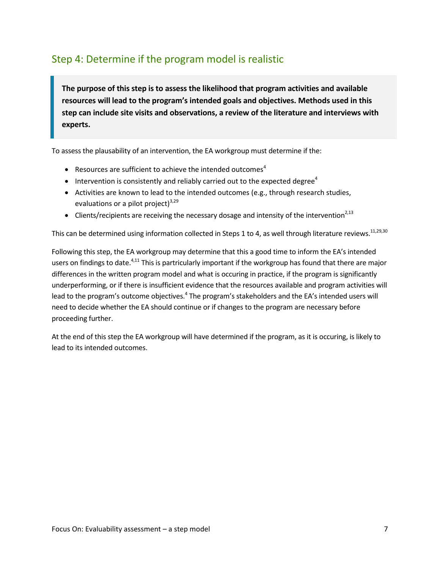### Step 4: Determine if the program model is realistic

**The purpose of this step is to assess the likelihood that program activities and available resources will lead to the program's intended goals and objectives. Methods used in this step can include site visits and observations, a review of the literature and interviews with experts.** 

To assess the plausability of an intervention, the EA workgroup must determine if the:

- **•** Resources are sufficient to achieve the intended outcomes<sup>4</sup>
- Intervention is consistently and reliably carried out to the expected degree<sup>4</sup>
- Activities are known to lead to the intended outcomes (e.g., through research studies, evaluations or a pilot project) $3,29$
- Clients/recipients are receiving the necessary dosage and intensity of the intervention<sup>2,13</sup>

This can be determined using information collected in Steps 1 to 4, as well through literature reviews. $^{11,29,30}$ 

Following this step, the EA workgroup may determine that this a good time to inform the EA's intended users on findings to date.<sup>4,11</sup> This is partricularly important if the workgroup has found that there are major differences in the written program model and what is occuring in practice, if the program is significantly underperforming, or if there is insufficient evidence that the resources available and program activities will lead to the program's outcome objectives.<sup>4</sup> The program's stakeholders and the EA's intended users will need to decide whether the EA should continue or if changes to the program are necessary before proceeding further.

At the end of this step the EA workgroup will have determined if the program, as it is occuring, is likely to lead to its intended outcomes.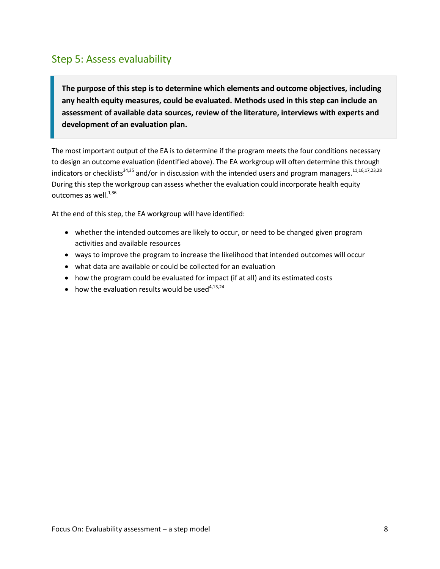#### Step 5: Assess evaluability

**The purpose of this step is to determine which elements and outcome objectives, including any health equity measures, could be evaluated. Methods used in this step can include an assessment of available data sources, review of the literature, interviews with experts and development of an evaluation plan.** 

The most important output of the EA is to determine if the program meets the four conditions necessary to design an outcome evaluation (identified above). The EA workgroup will often determine this through indicators or checklists<sup>34,35</sup> and/or in discussion with the intended users and program managers.<sup>11,16,17,23,28</sup> During this step the workgroup can assess whether the evaluation could incorporate health equity outcomes as well.<sup>1,36</sup>

At the end of this step, the EA workgroup will have identified:

- whether the intended outcomes are likely to occur, or need to be changed given program activities and available resources
- ways to improve the program to increase the likelihood that intended outcomes will occur
- what data are available or could be collected for an evaluation
- how the program could be evaluated for impact (if at all) and its estimated costs
- $\bullet$  how the evaluation results would be used<sup>4,13,24</sup>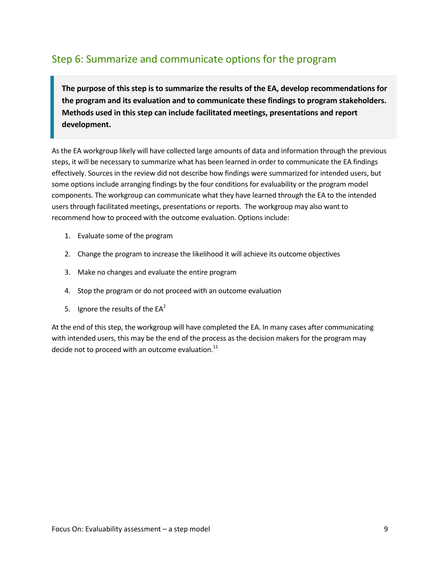### Step 6: Summarize and communicate options for the program

**The purpose of this step is to summarize the results of the EA, develop recommendations for the program and its evaluation and to communicate these findings to program stakeholders. Methods used in this step can include facilitated meetings, presentations and report development.** 

As the EA workgroup likely will have collected large amounts of data and information through the previous steps, it will be necessary to summarize what has been learned in order to communicate the EA findings effectively. Sources in the review did not describe how findings were summarized for intended users, but some options include arranging findings by the four conditions for evaluability or the program model components. The workgroup can communicate what they have learned through the EA to the intended users through facilitated meetings, presentations or reports. The workgroup may also want to recommend how to proceed with the outcome evaluation. Options include:

- 1. Evaluate some of the program
- 2. Change the program to increase the likelihood it will achieve its outcome objectives
- 3. Make no changes and evaluate the entire program
- 4. Stop the program or do not proceed with an outcome evaluation
- 5. Ignore the results of the  $EA^2$

At the end of this step, the workgroup will have completed the EA. In many cases after communicating with intended users, this may be the end of the process as the decision makers for the program may decide not to proceed with an outcome evaluation. $^{11}$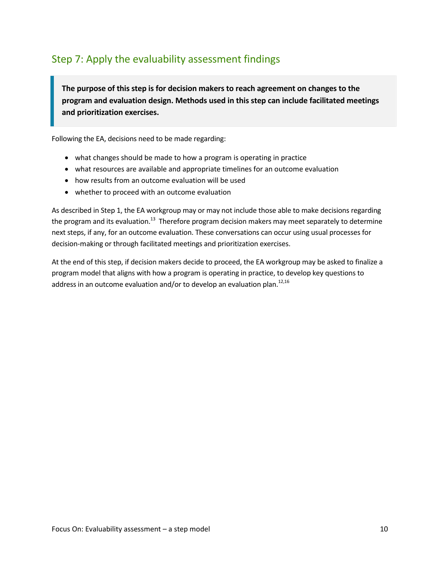### Step 7: Apply the evaluability assessment findings

**The purpose of this step is for decision makers to reach agreement on changes to the program and evaluation design. Methods used in this step can include facilitated meetings and prioritization exercises.**

Following the EA, decisions need to be made regarding:

- what changes should be made to how a program is operating in practice
- what resources are available and appropriate timelines for an outcome evaluation
- how results from an outcome evaluation will be used
- whether to proceed with an outcome evaluation

As described in Step 1, the EA workgroup may or may not include those able to make decisions regarding the program and its evaluation.<sup>13</sup> Therefore program decision makers may meet separately to determine next steps, if any, for an outcome evaluation. These conversations can occur using usual processes for decision-making or through facilitated meetings and prioritization exercises.

At the end of this step, if decision makers decide to proceed, the EA workgroup may be asked to finalize a program model that aligns with how a program is operating in practice, to develop key questions to address in an outcome evaluation and/or to develop an evaluation plan.<sup>12,16</sup>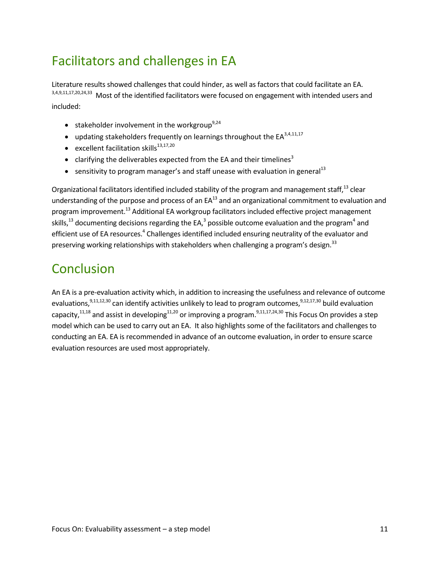# Facilitators and challenges in EA

Literature results showed challenges that could hinder, as well as factors that could facilitate an EA. 3,4,9,11,17,20,24,33 Most of the identified facilitators were focused on engagement with intended users and included:

- **•** stakeholder involvement in the workgroup<sup>9,24</sup>
- updating stakeholders frequently on learnings throughout the  $EA^{3,4,11,17}$
- **e** excellent facilitation skills<sup>13,17,20</sup>
- clarifying the deliverables expected from the EA and their timelines<sup>3</sup>
- sensitivity to program manager's and staff unease with evaluation in general<sup>13</sup>

Organizational facilitators identified included stability of the program and management staff,<sup>13</sup> clear understanding of the purpose and process of an  $EA^{13}$  and an organizational commitment to evaluation and program improvement.<sup>13</sup> Additional EA workgroup facilitators included effective project management skills,<sup>13</sup> documenting decisions regarding the EA,<sup>3</sup> possible outcome evaluation and the program<sup>4</sup> and efficient use of EA resources.<sup>4</sup> Challenges identified included ensuring neutrality of the evaluator and preserving working relationships with stakeholders when challenging a program's design.<sup>33</sup>

## **Conclusion**

An EA is a pre-evaluation activity which, in addition to increasing the usefulness and relevance of outcome evaluations,<sup>9,11,12,30</sup> can identify activities unlikely to lead to program outcomes,<sup>9,12,17,30</sup> build evaluation capacity,<sup>11,18</sup> and assist in developing<sup>11,20</sup> or improving a program.<sup>9,11,17,24,30</sup> This Focus On provides a step model which can be used to carry out an EA. It also highlights some of the facilitators and challenges to conducting an EA. EA is recommended in advance of an outcome evaluation, in order to ensure scarce evaluation resources are used most appropriately.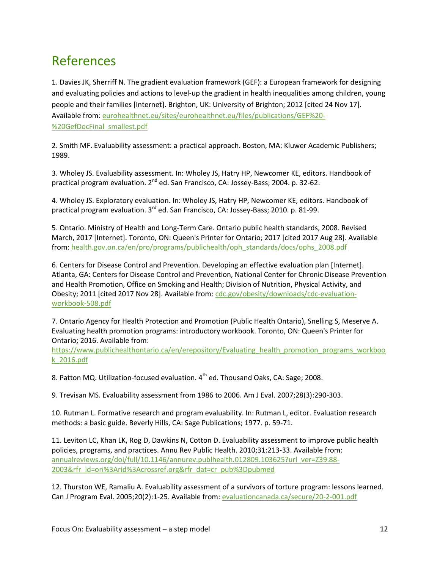## References

1. Davies JK, Sherriff N. The gradient evaluation framework (GEF): a European framework for designing and evaluating policies and actions to level-up the gradient in health inequalities among children, young people and their families [Internet]. Brighton, UK: University of Brighton; 2012 [cited 24 Nov 17]. Available from[: eurohealthnet.eu/sites/eurohealthnet.eu/files/publications/GEF%20-](http://eurohealthnet.eu/sites/eurohealthnet.eu/files/publications/GEF%20-%20GefDocFinal_smallest.pdf) [%20GefDocFinal\\_smallest.pdf](http://eurohealthnet.eu/sites/eurohealthnet.eu/files/publications/GEF%20-%20GefDocFinal_smallest.pdf)

2. Smith MF. Evaluability assessment: a practical approach. Boston, MA: Kluwer Academic Publishers; 1989.

3. Wholey JS. Evaluability assessment. In: Wholey JS, Hatry HP, Newcomer KE, editors. Handbook of practical program evaluation. 2<sup>nd</sup> ed. San Francisco, CA: Jossey-Bass; 2004. p. 32-62.

4. Wholey JS. Exploratory evaluation. In: Wholey JS, Hatry HP, Newcomer KE, editors. Handbook of practical program evaluation.  $3^{rd}$  ed. San Francisco, CA: Jossey-Bass; 2010. p. 81-99.

5. Ontario. Ministry of Health and Long-Term Care. Ontario public health standards, 2008. Revised March, 2017 [Internet]. Toronto, ON: Queen's Printer for Ontario; 2017 [cited 2017 Aug 28]. Available from: [health.gov.on.ca/en/pro/programs/publichealth/oph\\_standards/docs/ophs\\_2008.pdf](http://www.health.gov.on.ca/en/pro/programs/publichealth/oph_standards/docs/ophs_2008.pdf)

6. Centers for Disease Control and Prevention. Developing an effective evaluation plan [Internet]. Atlanta, GA: Centers for Disease Control and Prevention, National Center for Chronic Disease Prevention and Health Promotion, Office on Smoking and Health; Division of Nutrition, Physical Activity, and Obesity; 2011 [cited 2017 Nov 28]. Available from: [cdc.gov/obesity/downloads/cdc-evaluation](http://www.cdc.gov/obesity/downloads/cdc-evaluation-workbook-508.pdf)[workbook-508.pdf](http://www.cdc.gov/obesity/downloads/cdc-evaluation-workbook-508.pdf)

7. Ontario Agency for Health Protection and Promotion (Public Health Ontario), Snelling S, Meserve A. Evaluating health promotion programs: introductory workbook. Toronto, ON: Queen's Printer for Ontario; 2016. Available from:

[https://www.publichealthontario.ca/en/erepository/Evaluating\\_health\\_promotion\\_programs\\_workboo](https://www.publichealthontario.ca/en/erepository/Evaluating_health_promotion_programs_workbook_2016.pdf) [k\\_2016.pdf](https://www.publichealthontario.ca/en/erepository/Evaluating_health_promotion_programs_workbook_2016.pdf)

8. Patton MQ. Utilization-focused evaluation.  $4^{th}$  ed. Thousand Oaks, CA: Sage; 2008.

9. Trevisan MS. Evaluability assessment from 1986 to 2006. Am J Eval. 2007;28(3):290-303.

10. Rutman L. Formative research and program evaluability. In: Rutman L, editor. Evaluation research methods: a basic guide. Beverly Hills, CA: Sage Publications; 1977. p. 59-71.

11. Leviton LC, Khan LK, Rog D, Dawkins N, Cotton D. Evaluability assessment to improve public health policies, programs, and practices. Annu Rev Public Health. 2010;31:213-33. Available from: [annualreviews.org/doi/full/10.1146/annurev.publhealth.012809.103625?url\\_ver=Z39.88-](http://www.annualreviews.org/doi/full/10.1146/annurev.publhealth.012809.103625?url_ver=Z39.88-2003&rfr_id=ori%3Arid%3Acrossref.org&rfr_dat=cr_pub%3Dpubmed) [2003&rfr\\_id=ori%3Arid%3Acrossref.org&rfr\\_dat=cr\\_pub%3Dpubmed](http://www.annualreviews.org/doi/full/10.1146/annurev.publhealth.012809.103625?url_ver=Z39.88-2003&rfr_id=ori%3Arid%3Acrossref.org&rfr_dat=cr_pub%3Dpubmed)

12. Thurston WE, Ramaliu A. Evaluability assessment of a survivors of torture program: lessons learned. Can J Program Eval. 2005;20(2):1-25. Available from: [evaluationcanada.ca/secure/20-2-001.pdf](https://evaluationcanada.ca/secure/20-2-001.pdf)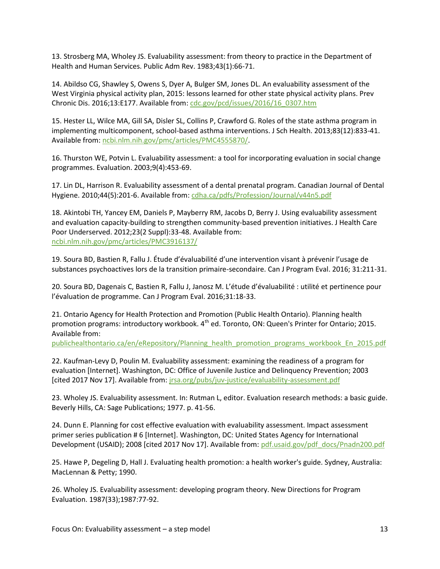13. Strosberg MA, Wholey JS. Evaluability assessment: from theory to practice in the Department of Health and Human Services. Public Adm Rev. 1983;43(1):66-71.

14. Abildso CG, Shawley S, Owens S, Dyer A, Bulger SM, Jones DL. An evaluability assessment of the West Virginia physical activity plan, 2015: lessons learned for other state physical activity plans. Prev Chronic Dis. 2016;13:E177. Available from[: cdc.gov/pcd/issues/2016/16\\_0307.htm](https://www.cdc.gov/pcd/issues/2016/16_0307.htm)

15. Hester LL, Wilce MA, Gill SA, Disler SL, Collins P, Crawford G. Roles of the state asthma program in implementing multicomponent, school-based asthma interventions. J Sch Health. 2013;83(12):833-41. Available from[: ncbi.nlm.nih.gov/pmc/articles/PMC4555870/.](https://www.ncbi.nlm.nih.gov/pmc/articles/PMC4555870/)

16. Thurston WE, Potvin L. Evaluability assessment: a tool for incorporating evaluation in social change programmes. Evaluation. 2003;9(4):453-69.

17. Lin DL, Harrison R. Evaluability assessment of a dental prenatal program. Canadian Journal of Dental Hygiene. 2010;44(5):201-6. Available from[: cdha.ca/pdfs/Profession/Journal/v44n5.pdf](https://www.cdha.ca/pdfs/Profession/Journal/v44n5.pdf)

18. Akintobi TH, Yancey EM, Daniels P, Mayberry RM, Jacobs D, Berry J. Using evaluability assessment and evaluation capacity-building to strengthen community-based prevention initiatives. J Health Care Poor Underserved. 2012;23(2 Suppl):33-48. Available from: [ncbi.nlm.nih.gov/pmc/articles/PMC3916137/](https://www.ncbi.nlm.nih.gov/pmc/articles/PMC3916137/)

19. Soura BD, Bastien R, Fallu J. Étude d'évaluabilité d'une intervention visant à prévenir l'usage de substances psychoactives lors de la transition primaire-secondaire. Can J Program Eval. 2016; 31:211-31.

20. Soura BD, Dagenais C, Bastien R, Fallu J, Janosz M. L'étude d'évaluabilité : utilité et pertinence pour l'évaluation de programme. Can J Program Eval. 2016;31:18-33.

21. Ontario Agency for Health Protection and Promotion (Public Health Ontario). Planning health promotion programs: introductory workbook.  $4<sup>th</sup>$  ed. Toronto, ON: Queen's Printer for Ontario; 2015. Available from:

[publichealthontario.ca/en/eRepository/Planning\\_health\\_promotion\\_programs\\_workbook\\_En\\_2015.pdf](https://www.publichealthontario.ca/en/eRepository/Planning_health_promotion_programs_workbook_En_2015.pdf)

22. Kaufman-Levy D, Poulin M. Evaluability assessment: examining the readiness of a program for evaluation [Internet]. Washington, DC: Office of Juvenile Justice and Delinquency Prevention; 2003 [cited 2017 Nov 17]. Available from: [jrsa.org/pubs/juv-justice/evaluability-assessment.pdf](http://www.jrsa.org/pubs/juv-justice/evaluability-assessment.pdf)

23. Wholey JS. Evaluability assessment. In: Rutman L, editor. Evaluation research methods: a basic guide. Beverly Hills, CA: Sage Publications; 1977. p. 41-56.

24. Dunn E. Planning for cost effective evaluation with evaluability assessment. Impact assessment primer series publication # 6 [Internet]. Washington, DC: United States Agency for International Development (USAID); 2008 [cited 2017 Nov 17]. Available from: [pdf.usaid.gov/pdf\\_docs/Pnadn200.pdf](http://pdf.usaid.gov/pdf_docs/Pnadn200.pdf)

25. Hawe P, Degeling D, Hall J. Evaluating health promotion: a health worker's guide. Sydney, Australia: MacLennan & Petty; 1990.

26. Wholey JS. Evaluability assessment: developing program theory. New Directions for Program Evaluation. 1987(33);1987:77-92.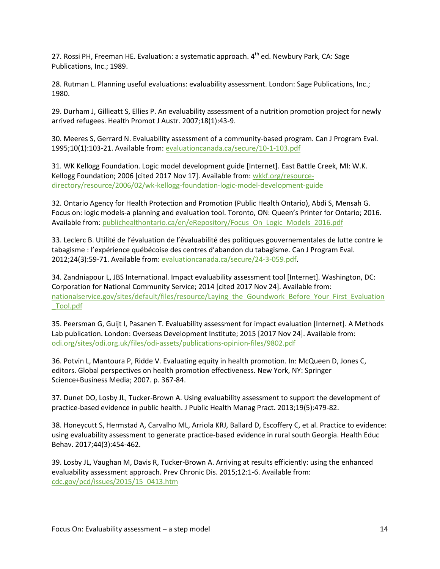27. Rossi PH, Freeman HE. Evaluation: a systematic approach.  $4<sup>th</sup>$  ed. Newbury Park, CA: Sage Publications, Inc.; 1989.

28. Rutman L. Planning useful evaluations: evaluability assessment. London: Sage Publications, Inc.; 1980.

29. Durham J, Gillieatt S, Ellies P. An evaluability assessment of a nutrition promotion project for newly arrived refugees. Health Promot J Austr. 2007;18(1):43-9.

30. Meeres S, Gerrard N. Evaluability assessment of a community-based program. Can J Program Eval. 1995;10(1):103-21. Available from[: evaluationcanada.ca/secure/10-1-103.pdf](https://evaluationcanada.ca/secure/10-1-103.pdf)

31. WK Kellogg Foundation. Logic model development guide [Internet]. East Battle Creek, MI: W.K. Kellogg Foundation; 2006 [cited 2017 Nov 17]. Available from[: wkkf.org/resource](http://www.wkkf.org/resource-directory/resource/2006/02/wk-kellogg-foundation-logic-model-development-guide)[directory/resource/2006/02/wk-kellogg-foundation-logic-model-development-guide](http://www.wkkf.org/resource-directory/resource/2006/02/wk-kellogg-foundation-logic-model-development-guide)

32. Ontario Agency for Health Protection and Promotion (Public Health Ontario), Abdi S, Mensah G. Focus on: logic models-a planning and evaluation tool. Toronto, ON: Queen's Printer for Ontario; 2016. Available from[: publichealthontario.ca/en/eRepository/Focus\\_On\\_Logic\\_Models\\_2016.pdf](http://www.publichealthontario.ca/en/eRepository/Focus_On_Logic_Models_2016.pdf)

33. Leclerc B. Utilité de l'évaluation de l'évaluabilité des politiques gouvernementales de lutte contre le tabagisme : l'expérience québécoise des centres d'abandon du tabagisme. Can J Program Eval. 2012;24(3):59-71. Available from: [evaluationcanada.ca/secure/24-3-059.pdf.](https://evaluationcanada.ca/secure/24-3-059.pdf)

34. Zandniapour L, JBS International. Impact evaluability assessment tool [Internet]. Washington, DC: Corporation for National Community Service; 2014 [cited 2017 Nov 24]. Available from: [nationalservice.gov/sites/default/files/resource/Laying\\_the\\_Goundwork\\_Before\\_Your\\_First\\_Evaluation](https://www.nationalservice.gov/sites/default/files/resource/Laying_the_Goundwork_Before_Your_First_Evaluation_Tool.pdf) [\\_Tool.pdf](https://www.nationalservice.gov/sites/default/files/resource/Laying_the_Goundwork_Before_Your_First_Evaluation_Tool.pdf)

35. Peersman G, Guijt I, Pasanen T. Evaluability assessment for impact evaluation [Internet]. A Methods Lab publication. London: Overseas Development Institute; 2015 [2017 Nov 24]. Available from: [odi.org/sites/odi.org.uk/files/odi-assets/publications-opinion-files/9802.pdf](https://www.odi.org/sites/odi.org.uk/files/odi-assets/publications-opinion-files/9802.pdf)

36. Potvin L, Mantoura P, Ridde V. Evaluating equity in health promotion. In: McQueen D, Jones C, editors. Global perspectives on health promotion effectiveness. New York, NY: Springer Science+Business Media; 2007. p. 367-84.

37. Dunet DO, Losby JL, Tucker-Brown A. Using evaluability assessment to support the development of practice-based evidence in public health. J Public Health Manag Pract. 2013;19(5):479-82.

38. Honeycutt S, Hermstad A, Carvalho ML, Arriola KRJ, Ballard D, Escoffery C, et al. Practice to evidence: using evaluability assessment to generate practice-based evidence in rural south Georgia. Health Educ Behav. 2017;44(3):454-462.

39. Losby JL, Vaughan M, Davis R, Tucker-Brown A. Arriving at results efficiently: using the enhanced evaluability assessment approach. Prev Chronic Dis. 2015;12:1-6. Available from: [cdc.gov/pcd/issues/2015/15\\_0413.htm](https://www.cdc.gov/pcd/issues/2015/15_0413.htm)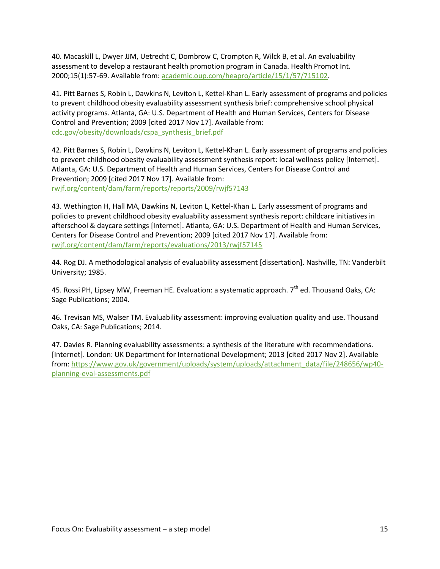40. Macaskill L, Dwyer JJM, Uetrecht C, Dombrow C, Crompton R, Wilck B, et al. An evaluability assessment to develop a restaurant health promotion program in Canada. Health Promot Int. 2000;15(1):57-69. Available from: [academic.oup.com/heapro/article/15/1/57/715102.](https://academic.oup.com/heapro/article/15/1/57/715102)

41. Pitt Barnes S, Robin L, Dawkins N, Leviton L, Kettel-Khan L. Early assessment of programs and policies to prevent childhood obesity evaluability assessment synthesis brief: comprehensive school physical activity programs. Atlanta, GA: U.S. Department of Health and Human Services, Centers for Disease Control and Prevention; 2009 [cited 2017 Nov 17]. Available from: [cdc.gov/obesity/downloads/cspa\\_synthesis\\_brief.pdf](https://www.cdc.gov/obesity/downloads/cspa_synthesis_brief.pdf)

42. Pitt Barnes S, Robin L, Dawkins N, Leviton L, Kettel-Khan L. Early assessment of programs and policies to prevent childhood obesity evaluability assessment synthesis report: local wellness policy [Internet]. Atlanta, GA: U.S. Department of Health and Human Services, Centers for Disease Control and Prevention; 2009 [cited 2017 Nov 17]. Available from: [rwjf.org/content/dam/farm/reports/reports/2009/rwjf57143](https://www.rwjf.org/content/dam/farm/reports/reports/2009/rwjf57143)

43. Wethington H, Hall MA, Dawkins N, Leviton L, Kettel-Khan L. Early assessment of programs and policies to prevent childhood obesity evaluability assessment synthesis report: childcare initiatives in afterschool & daycare settings [Internet]. Atlanta, GA: U.S. Department of Health and Human Services, Centers for Disease Control and Prevention; 2009 [cited 2017 Nov 17]. Available from: [rwjf.org/content/dam/farm/reports/evaluations/2013/rwjf57145](https://www.rwjf.org/content/dam/farm/reports/evaluations/2013/rwjf57145)

44. Rog DJ. A methodological analysis of evaluability assessment [dissertation]. Nashville, TN: Vanderbilt University; 1985.

45. Rossi PH, Lipsey MW, Freeman HE. Evaluation: a systematic approach.  $7<sup>th</sup>$  ed. Thousand Oaks, CA: Sage Publications; 2004.

46. Trevisan MS, Walser TM. Evaluability assessment: improving evaluation quality and use. Thousand Oaks, CA: Sage Publications; 2014.

47. Davies R. Planning evaluability assessments: a synthesis of the literature with recommendations. [Internet]. London: UK Department for International Development; 2013 [cited 2017 Nov 2]. Available from: [https://www.gov.uk/government/uploads/system/uploads/attachment\\_data/file/248656/wp40](https://www.gov.uk/government/uploads/system/uploads/attachment_data/file/248656/wp40-planning-eval-assessments.pdf) [planning-eval-assessments.pdf](https://www.gov.uk/government/uploads/system/uploads/attachment_data/file/248656/wp40-planning-eval-assessments.pdf)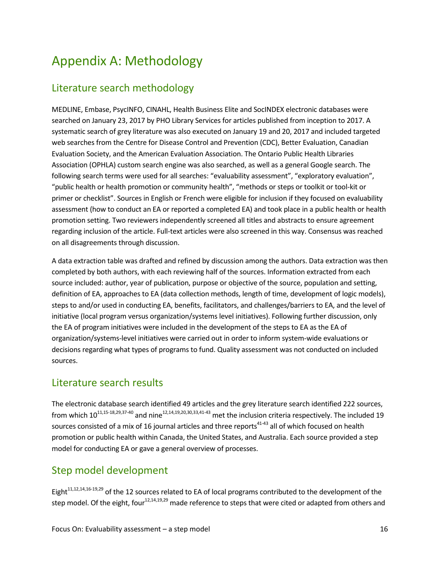# <span id="page-15-0"></span>Appendix A: Methodology

### Literature search methodology

MEDLINE, Embase, PsycINFO, CINAHL, Health Business Elite and SocINDEX electronic databases were searched on January 23, 2017 by PHO Library Services for articles published from inception to 2017. A systematic search of grey literature was also executed on January 19 and 20, 2017 and included targeted web searches from the Centre for Disease Control and Prevention (CDC), Better Evaluation, Canadian Evaluation Society, and the American Evaluation Association. The Ontario Public Health Libraries Association (OPHLA) custom search engine was also searched, as well as a general Google search. The following search terms were used for all searches: "evaluability assessment", "exploratory evaluation", "public health or health promotion or community health", "methods or steps or toolkit or tool-kit or primer or checklist". Sources in English or French were eligible for inclusion if they focused on evaluability assessment (how to conduct an EA or reported a completed EA) and took place in a public health or health promotion setting. Two reviewers independently screened all titles and abstracts to ensure agreement regarding inclusion of the article. Full-text articles were also screened in this way. Consensus was reached on all disagreements through discussion.

A data extraction table was drafted and refined by discussion among the authors. Data extraction was then completed by both authors, with each reviewing half of the sources. Information extracted from each source included: author, year of publication, purpose or objective of the source, population and setting, definition of EA, approaches to EA (data collection methods, length of time, development of logic models), steps to and/or used in conducting EA, benefits, facilitators, and challenges/barriers to EA, and the level of initiative (local program versus organization/systems level initiatives). Following further discussion, only the EA of program initiatives were included in the development of the steps to EA as the EA of organization/systems-level initiatives were carried out in order to inform system-wide evaluations or decisions regarding what types of programs to fund. Quality assessment was not conducted on included sources.

### Literature search results

The electronic database search identified 49 articles and the grey literature search identified 222 sources, from which  $10^{11,15-18,29,37-40}$  and nine<sup>12,14,19,20,30,33,41-43</sup> met the inclusion criteria respectively. The included 19 sources consisted of a mix of 16 journal articles and three reports<sup>41-43</sup> all of which focused on health promotion or public health within Canada, the United States, and Australia. Each source provided a step model for conducting EA or gave a general overview of processes.

### Step model development

Eight<sup>11,12,14,16-19,29</sup> of the 12 sources related to EA of local programs contributed to the development of the step model. Of the eight, four<sup>12,14,19,29</sup> made reference to steps that were cited or adapted from others and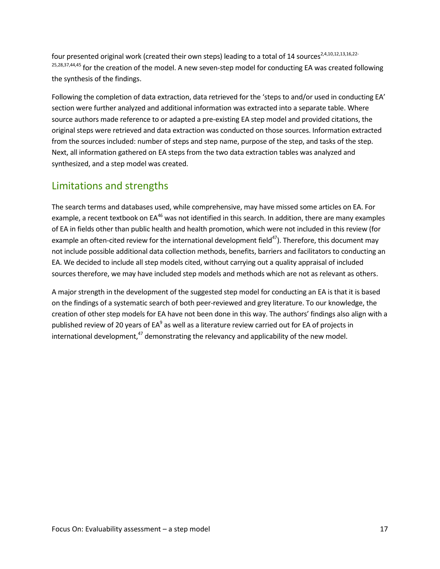four presented original work (created their own steps) leading to a total of 14 sources<sup>2,4,10,12,13,16,22-</sup> 25,28,37,44,45 for the creation of the model. A new seven-step model for conducting EA was created following the synthesis of the findings.

Following the completion of data extraction, data retrieved for the 'steps to and/or used in conducting EA' section were further analyzed and additional information was extracted into a separate table. Where source authors made reference to or adapted a pre-existing EA step model and provided citations, the original steps were retrieved and data extraction was conducted on those sources. Information extracted from the sources included: number of steps and step name, purpose of the step, and tasks of the step. Next, all information gathered on EA steps from the two data extraction tables was analyzed and synthesized, and a step model was created.

### Limitations and strengths

The search terms and databases used, while comprehensive, may have missed some articles on EA. For example, a recent textbook on EA<sup>46</sup> was not identified in this search. In addition, there are many examples of EA in fields other than public health and health promotion, which were not included in this review (for example an often-cited review for the international development field $47$ ). Therefore, this document may not include possible additional data collection methods, benefits, barriers and facilitators to conducting an EA. We decided to include all step models cited, without carrying out a quality appraisal of included sources therefore, we may have included step models and methods which are not as relevant as others.

A major strength in the development of the suggested step model for conducting an EA is that it is based on the findings of a systematic search of both peer-reviewed and grey literature. To our knowledge, the creation of other step models for EA have not been done in this way. The authors' findings also align with a published review of 20 years of EA $^9$  as well as a literature review carried out for EA of projects in international development,<sup>47</sup> demonstrating the relevancy and applicability of the new model.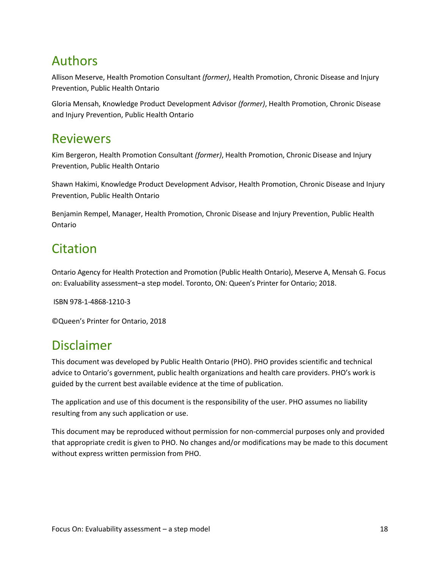## Authors

Allison Meserve, Health Promotion Consultant *(former)*, Health Promotion, Chronic Disease and Injury Prevention, Public Health Ontario

Gloria Mensah, Knowledge Product Development Advisor *(former)*, Health Promotion, Chronic Disease and Injury Prevention, Public Health Ontario

### Reviewers

Kim Bergeron, Health Promotion Consultant *(former)*, Health Promotion, Chronic Disease and Injury Prevention, Public Health Ontario

Shawn Hakimi, Knowledge Product Development Advisor, Health Promotion, Chronic Disease and Injury Prevention, Public Health Ontario

Benjamin Rempel, Manager, Health Promotion, Chronic Disease and Injury Prevention, Public Health Ontario

# Citation

Ontario Agency for Health Protection and Promotion (Public Health Ontario), Meserve A, Mensah G. Focus on: Evaluability assessment–a step model. Toronto, ON: Queen's Printer for Ontario; 2018.

ISBN 978-1-4868-1210-3

©Queen's Printer for Ontario, 2018

### Disclaimer

This document was developed by Public Health Ontario (PHO). PHO provides scientific and technical advice to Ontario's government, public health organizations and health care providers. PHO's work is guided by the current best available evidence at the time of publication.

The application and use of this document is the responsibility of the user. PHO assumes no liability resulting from any such application or use.

This document may be reproduced without permission for non-commercial purposes only and provided that appropriate credit is given to PHO. No changes and/or modifications may be made to this document without express written permission from PHO.